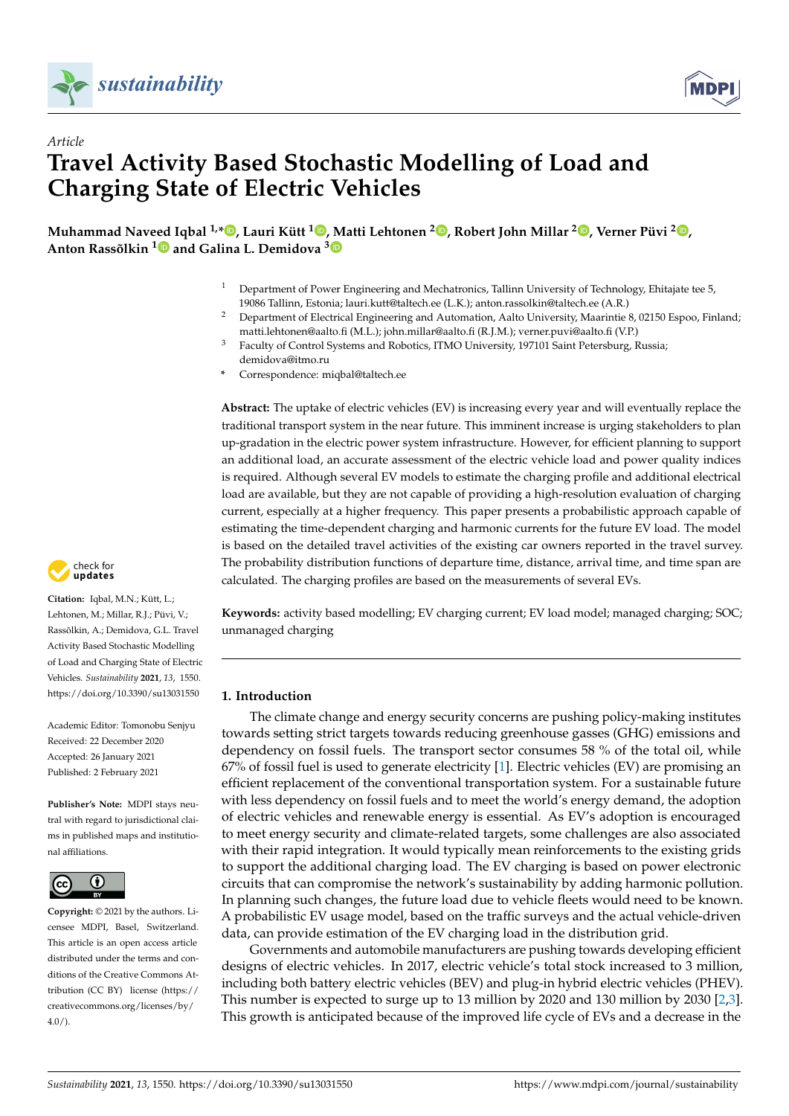



# *Article* **Travel Activity Based Stochastic Modelling of Load and Charging State of Electric Vehicles**

**Muhammad Naveed Iqbal 1,[\\*](https://orcid.org/0000-0002-5915-8393) , Lauri Kütt [1](https://orcid.org/0000-0003-1353-0396) , Matti Lehtonen <sup>2</sup> [,](https://orcid.org/0000-0002-9979-7333) Robert John Millar <sup>2</sup> [,](https://orcid.org/0000-0002-1704-0354) Verner Püvi <sup>2</sup> [,](https://orcid.org/0000-0002-1342-1600) Anton Rassõlkin [1](https://orcid.org/0000-0001-8035-3970) and Galina L. Demidova [3](https://orcid.org/0000-0002-7892-8998)**

- <sup>1</sup> Department of Power Engineering and Mechatronics, Tallinn University of Technology, Ehitajate tee 5, 19086 Tallinn, Estonia; lauri.kutt@taltech.ee (L.K.); anton.rassolkin@taltech.ee (A.R.)
- <sup>2</sup> Department of Electrical Engineering and Automation, Aalto University, Maarintie 8, 02150 Espoo, Finland; matti.lehtonen@aalto.fi (M.L.); john.millar@aalto.fi (R.J.M.); verner.puvi@aalto.fi (V.P.)
- <sup>3</sup> Faculty of Control Systems and Robotics, ITMO University, 197101 Saint Petersburg, Russia; demidova@itmo.ru
- **\*** Correspondence: miqbal@taltech.ee

**Abstract:** The uptake of electric vehicles (EV) is increasing every year and will eventually replace the traditional transport system in the near future. This imminent increase is urging stakeholders to plan up-gradation in the electric power system infrastructure. However, for efficient planning to support an additional load, an accurate assessment of the electric vehicle load and power quality indices is required. Although several EV models to estimate the charging profile and additional electrical load are available, but they are not capable of providing a high-resolution evaluation of charging current, especially at a higher frequency. This paper presents a probabilistic approach capable of estimating the time-dependent charging and harmonic currents for the future EV load. The model is based on the detailed travel activities of the existing car owners reported in the travel survey. The probability distribution functions of departure time, distance, arrival time, and time span are calculated. The charging profiles are based on the measurements of several EVs.

**Keywords:** activity based modelling; EV charging current; EV load model; managed charging; SOC; unmanaged charging

# **1. Introduction**

The climate change and energy security concerns are pushing policy-making institutes towards setting strict targets towards reducing greenhouse gasses (GHG) emissions and dependency on fossil fuels. The transport sector consumes 58 % of the total oil, while 67% of fossil fuel is used to generate electricity [\[1\]](#page-12-0). Electric vehicles (EV) are promising an efficient replacement of the conventional transportation system. For a sustainable future with less dependency on fossil fuels and to meet the world's energy demand, the adoption of electric vehicles and renewable energy is essential. As EV's adoption is encouraged to meet energy security and climate-related targets, some challenges are also associated with their rapid integration. It would typically mean reinforcements to the existing grids to support the additional charging load. The EV charging is based on power electronic circuits that can compromise the network's sustainability by adding harmonic pollution. In planning such changes, the future load due to vehicle fleets would need to be known. A probabilistic EV usage model, based on the traffic surveys and the actual vehicle-driven data, can provide estimation of the EV charging load in the distribution grid.

Governments and automobile manufacturers are pushing towards developing efficient designs of electric vehicles. In 2017, electric vehicle's total stock increased to 3 million, including both battery electric vehicles (BEV) and plug-in hybrid electric vehicles (PHEV). This number is expected to surge up to 13 million by 2020 and 130 million by 2030 [\[2,](#page-12-1)[3\]](#page-12-2). This growth is anticipated because of the improved life cycle of EVs and a decrease in the



**Citation:** Iqbal, M.N.; Kütt, L.; Lehtonen, M.; Millar, R.J.; Püvi, V.; Rassõlkin, A.; Demidova, G.L. Travel Activity Based Stochastic Modelling of Load and Charging State of Electric Vehicles. *Sustainability* **2021**, *13*, 1550. <https://doi.org/10.3390/su13031550>

Academic Editor: Tomonobu Senjyu Received: 22 December 2020 Accepted: 26 January 2021 Published: 2 February 2021

**Publisher's Note:** MDPI stays neutral with regard to jurisdictional claims in published maps and institutional affiliations.



**Copyright:** © 2021 by the authors. Licensee MDPI, Basel, Switzerland. This article is an open access article distributed under the terms and conditions of the Creative Commons Attribution (CC BY) license [\(https://](https://creativecommons.org/licenses/by/4.0/) [creativecommons.org/licenses/by/](https://creativecommons.org/licenses/by/4.0/) [4.0/\)](https://creativecommons.org/licenses/by/4.0/).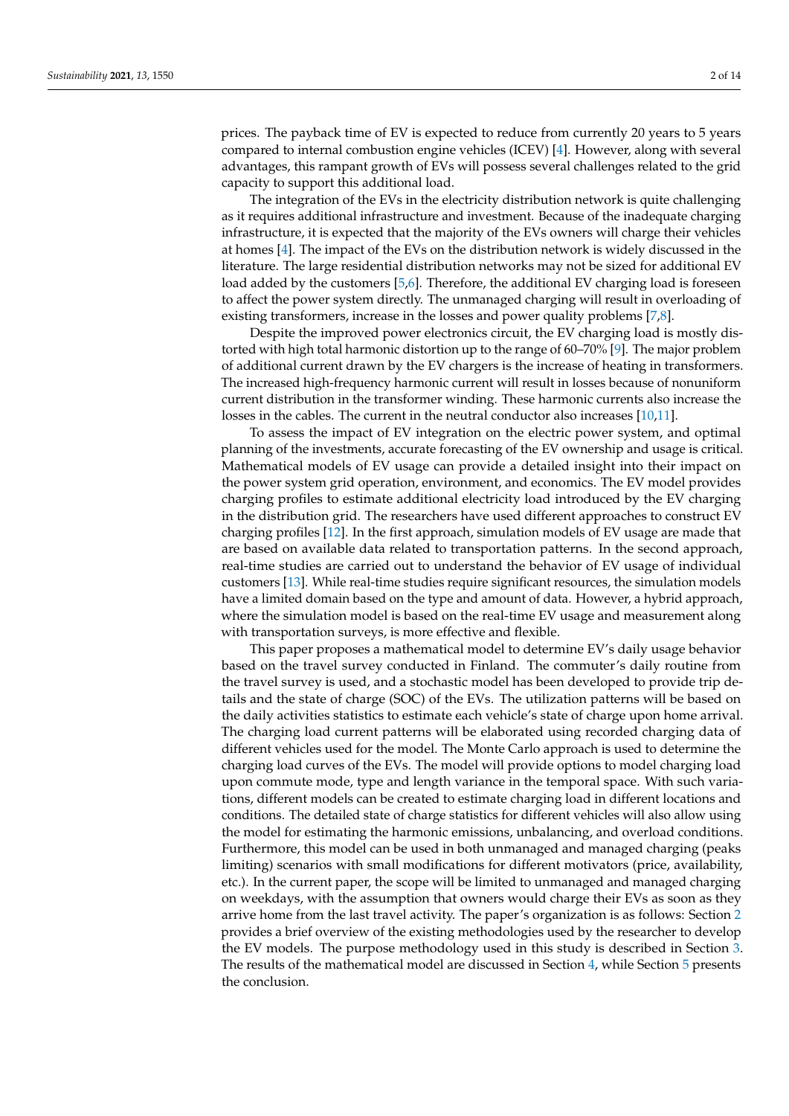prices. The payback time of EV is expected to reduce from currently 20 years to 5 years compared to internal combustion engine vehicles (ICEV) [\[4\]](#page-12-3). However, along with several advantages, this rampant growth of EVs will possess several challenges related to the grid capacity to support this additional load.

The integration of the EVs in the electricity distribution network is quite challenging as it requires additional infrastructure and investment. Because of the inadequate charging infrastructure, it is expected that the majority of the EVs owners will charge their vehicles at homes [\[4\]](#page-12-3). The impact of the EVs on the distribution network is widely discussed in the literature. The large residential distribution networks may not be sized for additional EV load added by the customers [\[5,](#page-12-4)[6\]](#page-12-5). Therefore, the additional EV charging load is foreseen to affect the power system directly. The unmanaged charging will result in overloading of existing transformers, increase in the losses and power quality problems [\[7](#page-12-6)[,8\]](#page-12-7).

Despite the improved power electronics circuit, the EV charging load is mostly distorted with high total harmonic distortion up to the range of 60–70% [\[9\]](#page-12-8). The major problem of additional current drawn by the EV chargers is the increase of heating in transformers. The increased high-frequency harmonic current will result in losses because of nonuniform current distribution in the transformer winding. These harmonic currents also increase the losses in the cables. The current in the neutral conductor also increases [\[10,](#page-12-9)[11\]](#page-12-10).

To assess the impact of EV integration on the electric power system, and optimal planning of the investments, accurate forecasting of the EV ownership and usage is critical. Mathematical models of EV usage can provide a detailed insight into their impact on the power system grid operation, environment, and economics. The EV model provides charging profiles to estimate additional electricity load introduced by the EV charging in the distribution grid. The researchers have used different approaches to construct EV charging profiles [\[12\]](#page-12-11). In the first approach, simulation models of EV usage are made that are based on available data related to transportation patterns. In the second approach, real-time studies are carried out to understand the behavior of EV usage of individual customers [\[13\]](#page-12-12). While real-time studies require significant resources, the simulation models have a limited domain based on the type and amount of data. However, a hybrid approach, where the simulation model is based on the real-time EV usage and measurement along with transportation surveys, is more effective and flexible.

This paper proposes a mathematical model to determine EV's daily usage behavior based on the travel survey conducted in Finland. The commuter's daily routine from the travel survey is used, and a stochastic model has been developed to provide trip details and the state of charge (SOC) of the EVs. The utilization patterns will be based on the daily activities statistics to estimate each vehicle's state of charge upon home arrival. The charging load current patterns will be elaborated using recorded charging data of different vehicles used for the model. The Monte Carlo approach is used to determine the charging load curves of the EVs. The model will provide options to model charging load upon commute mode, type and length variance in the temporal space. With such variations, different models can be created to estimate charging load in different locations and conditions. The detailed state of charge statistics for different vehicles will also allow using the model for estimating the harmonic emissions, unbalancing, and overload conditions. Furthermore, this model can be used in both unmanaged and managed charging (peaks limiting) scenarios with small modifications for different motivators (price, availability, etc.). In the current paper, the scope will be limited to unmanaged and managed charging on weekdays, with the assumption that owners would charge their EVs as soon as they arrive home from the last travel activity. The paper's organization is as follows: Section [2](#page-2-0) provides a brief overview of the existing methodologies used by the researcher to develop the EV models. The purpose methodology used in this study is described in Section [3.](#page-3-0) The results of the mathematical model are discussed in Section [4,](#page-10-0) while Section [5](#page-11-0) presents the conclusion.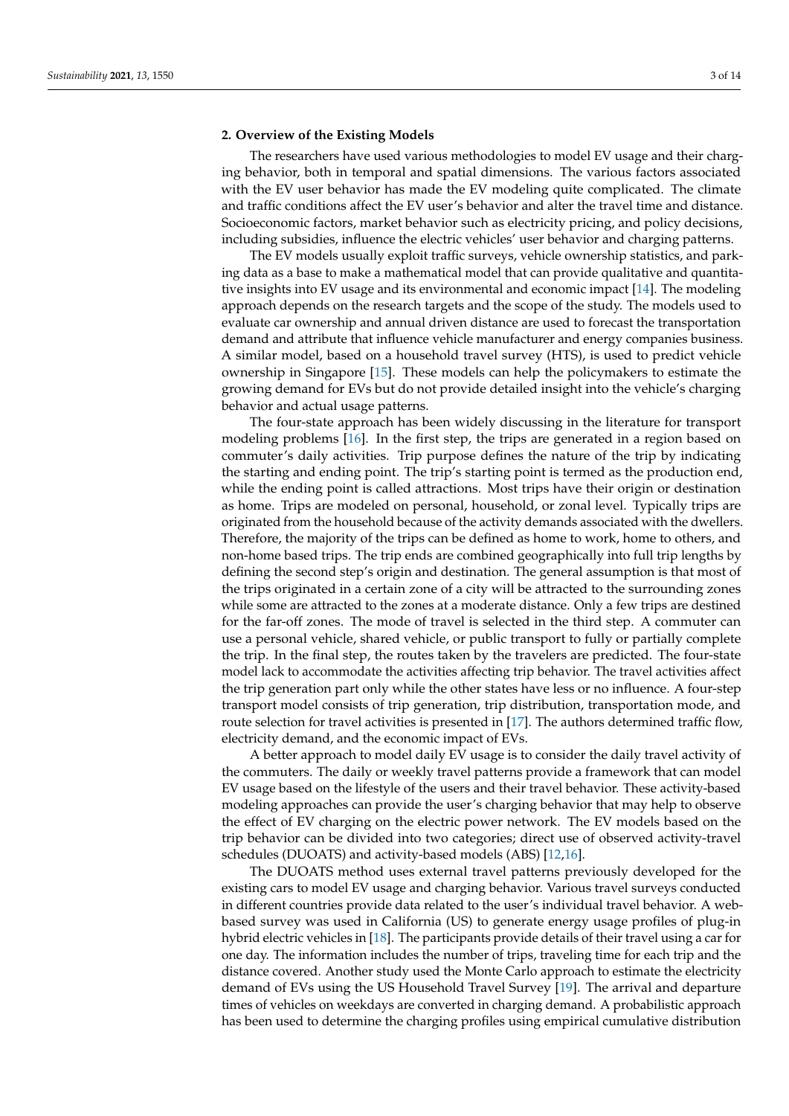# <span id="page-2-0"></span>**2. Overview of the Existing Models**

The researchers have used various methodologies to model EV usage and their charging behavior, both in temporal and spatial dimensions. The various factors associated with the EV user behavior has made the EV modeling quite complicated. The climate and traffic conditions affect the EV user's behavior and alter the travel time and distance. Socioeconomic factors, market behavior such as electricity pricing, and policy decisions, including subsidies, influence the electric vehicles' user behavior and charging patterns.

The EV models usually exploit traffic surveys, vehicle ownership statistics, and parking data as a base to make a mathematical model that can provide qualitative and quantitative insights into EV usage and its environmental and economic impact [\[14\]](#page-12-13). The modeling approach depends on the research targets and the scope of the study. The models used to evaluate car ownership and annual driven distance are used to forecast the transportation demand and attribute that influence vehicle manufacturer and energy companies business. A similar model, based on a household travel survey (HTS), is used to predict vehicle ownership in Singapore [\[15\]](#page-12-14). These models can help the policymakers to estimate the growing demand for EVs but do not provide detailed insight into the vehicle's charging behavior and actual usage patterns.

The four-state approach has been widely discussing in the literature for transport modeling problems [\[16\]](#page-12-15). In the first step, the trips are generated in a region based on commuter's daily activities. Trip purpose defines the nature of the trip by indicating the starting and ending point. The trip's starting point is termed as the production end, while the ending point is called attractions. Most trips have their origin or destination as home. Trips are modeled on personal, household, or zonal level. Typically trips are originated from the household because of the activity demands associated with the dwellers. Therefore, the majority of the trips can be defined as home to work, home to others, and non-home based trips. The trip ends are combined geographically into full trip lengths by defining the second step's origin and destination. The general assumption is that most of the trips originated in a certain zone of a city will be attracted to the surrounding zones while some are attracted to the zones at a moderate distance. Only a few trips are destined for the far-off zones. The mode of travel is selected in the third step. A commuter can use a personal vehicle, shared vehicle, or public transport to fully or partially complete the trip. In the final step, the routes taken by the travelers are predicted. The four-state model lack to accommodate the activities affecting trip behavior. The travel activities affect the trip generation part only while the other states have less or no influence. A four-step transport model consists of trip generation, trip distribution, transportation mode, and route selection for travel activities is presented in [\[17\]](#page-12-16). The authors determined traffic flow, electricity demand, and the economic impact of EVs.

A better approach to model daily EV usage is to consider the daily travel activity of the commuters. The daily or weekly travel patterns provide a framework that can model EV usage based on the lifestyle of the users and their travel behavior. These activity-based modeling approaches can provide the user's charging behavior that may help to observe the effect of EV charging on the electric power network. The EV models based on the trip behavior can be divided into two categories; direct use of observed activity-travel schedules (DUOATS) and activity-based models (ABS) [\[12,](#page-12-11)[16\]](#page-12-15).

The DUOATS method uses external travel patterns previously developed for the existing cars to model EV usage and charging behavior. Various travel surveys conducted in different countries provide data related to the user's individual travel behavior. A webbased survey was used in California (US) to generate energy usage profiles of plug-in hybrid electric vehicles in [\[18\]](#page-12-17). The participants provide details of their travel using a car for one day. The information includes the number of trips, traveling time for each trip and the distance covered. Another study used the Monte Carlo approach to estimate the electricity demand of EVs using the US Household Travel Survey [\[19\]](#page-12-18). The arrival and departure times of vehicles on weekdays are converted in charging demand. A probabilistic approach has been used to determine the charging profiles using empirical cumulative distribution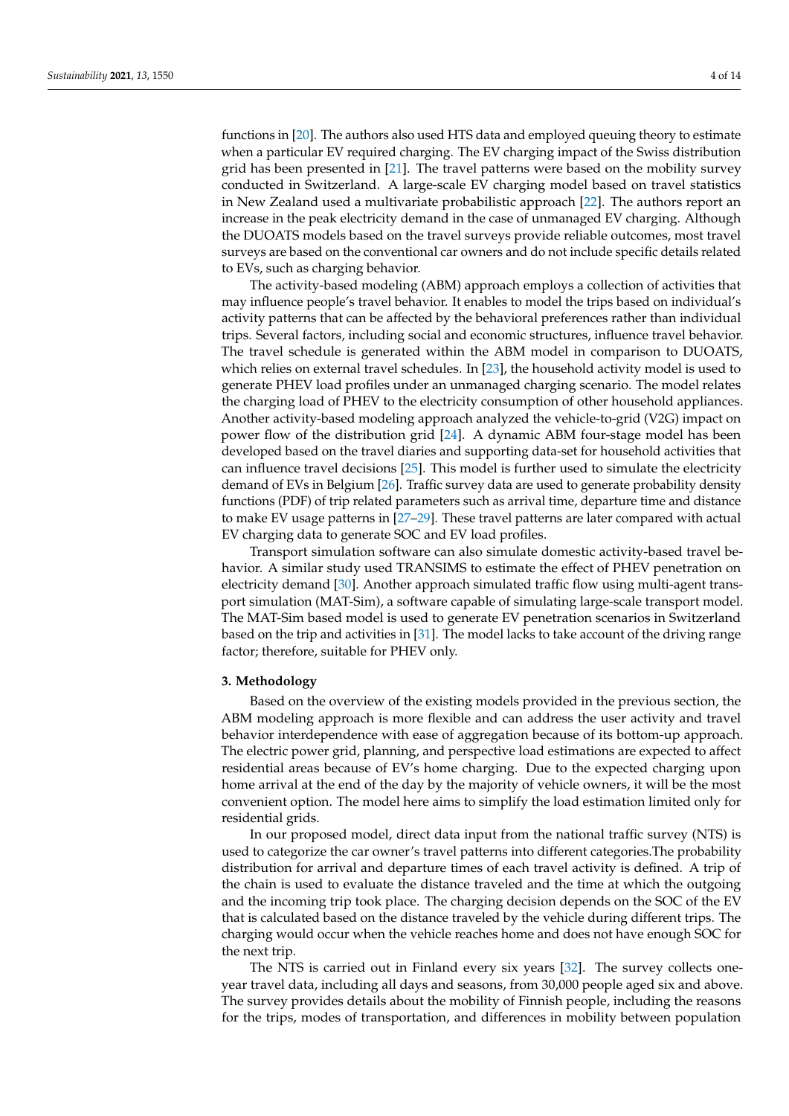functions in [\[20\]](#page-12-19). The authors also used HTS data and employed queuing theory to estimate when a particular EV required charging. The EV charging impact of the Swiss distribution grid has been presented in [\[21\]](#page-12-20). The travel patterns were based on the mobility survey conducted in Switzerland. A large-scale EV charging model based on travel statistics in New Zealand used a multivariate probabilistic approach [\[22\]](#page-12-21). The authors report an increase in the peak electricity demand in the case of unmanaged EV charging. Although the DUOATS models based on the travel surveys provide reliable outcomes, most travel surveys are based on the conventional car owners and do not include specific details related to EVs, such as charging behavior.

The activity-based modeling (ABM) approach employs a collection of activities that may influence people's travel behavior. It enables to model the trips based on individual's activity patterns that can be affected by the behavioral preferences rather than individual trips. Several factors, including social and economic structures, influence travel behavior. The travel schedule is generated within the ABM model in comparison to DUOATS, which relies on external travel schedules. In [\[23\]](#page-12-22), the household activity model is used to generate PHEV load profiles under an unmanaged charging scenario. The model relates the charging load of PHEV to the electricity consumption of other household appliances. Another activity-based modeling approach analyzed the vehicle-to-grid (V2G) impact on power flow of the distribution grid [\[24\]](#page-12-23). A dynamic ABM four-stage model has been developed based on the travel diaries and supporting data-set for household activities that can influence travel decisions [\[25\]](#page-13-0). This model is further used to simulate the electricity demand of EVs in Belgium [\[26\]](#page-13-1). Traffic survey data are used to generate probability density functions (PDF) of trip related parameters such as arrival time, departure time and distance to make EV usage patterns in [\[27–](#page-13-2)[29\]](#page-13-3). These travel patterns are later compared with actual EV charging data to generate SOC and EV load profiles.

Transport simulation software can also simulate domestic activity-based travel behavior. A similar study used TRANSIMS to estimate the effect of PHEV penetration on electricity demand [\[30\]](#page-13-4). Another approach simulated traffic flow using multi-agent transport simulation (MAT-Sim), a software capable of simulating large-scale transport model. The MAT-Sim based model is used to generate EV penetration scenarios in Switzerland based on the trip and activities in [\[31\]](#page-13-5). The model lacks to take account of the driving range factor; therefore, suitable for PHEV only.

#### <span id="page-3-0"></span>**3. Methodology**

Based on the overview of the existing models provided in the previous section, the ABM modeling approach is more flexible and can address the user activity and travel behavior interdependence with ease of aggregation because of its bottom-up approach. The electric power grid, planning, and perspective load estimations are expected to affect residential areas because of EV's home charging. Due to the expected charging upon home arrival at the end of the day by the majority of vehicle owners, it will be the most convenient option. The model here aims to simplify the load estimation limited only for residential grids.

In our proposed model, direct data input from the national traffic survey (NTS) is used to categorize the car owner's travel patterns into different categories.The probability distribution for arrival and departure times of each travel activity is defined. A trip of the chain is used to evaluate the distance traveled and the time at which the outgoing and the incoming trip took place. The charging decision depends on the SOC of the EV that is calculated based on the distance traveled by the vehicle during different trips. The charging would occur when the vehicle reaches home and does not have enough SOC for the next trip.

The NTS is carried out in Finland every six years [\[32\]](#page-13-6). The survey collects oneyear travel data, including all days and seasons, from 30,000 people aged six and above. The survey provides details about the mobility of Finnish people, including the reasons for the trips, modes of transportation, and differences in mobility between population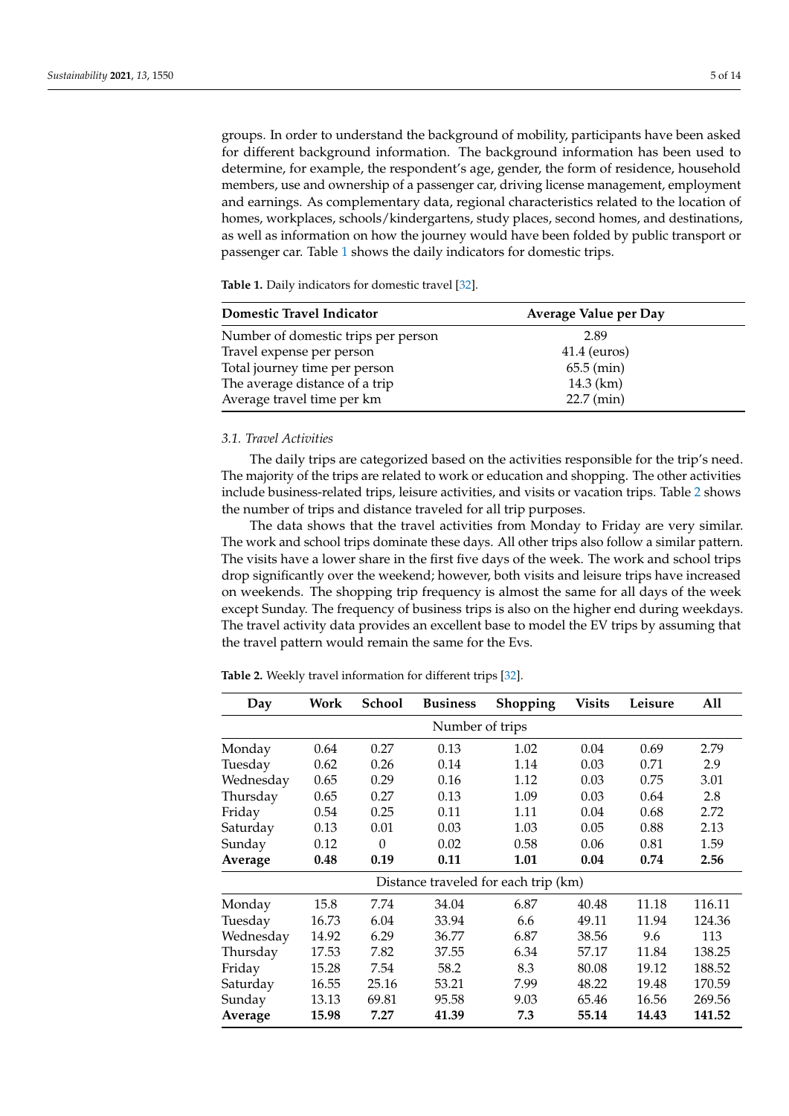groups. In order to understand the background of mobility, participants have been asked for different background information. The background information has been used to determine, for example, the respondent's age, gender, the form of residence, household members, use and ownership of a passenger car, driving license management, employment and earnings. As complementary data, regional characteristics related to the location of homes, workplaces, schools/kindergartens, study places, second homes, and destinations, as well as information on how the journey would have been folded by public transport or passenger car. Table [1](#page-4-0) shows the daily indicators for domestic trips.

<span id="page-4-0"></span>**Table 1.** Daily indicators for domestic travel [\[32\]](#page-13-6).

| Domestic Travel Indicator           | Average Value per Day |  |
|-------------------------------------|-----------------------|--|
| Number of domestic trips per person | 2.89                  |  |
| Travel expense per person           | $41.4$ (euros)        |  |
| Total journey time per person       | $65.5$ (min)          |  |
| The average distance of a trip      | 14.3 $(km)$           |  |
| Average travel time per km          | $22.7$ (min)          |  |

## *3.1. Travel Activities*

The daily trips are categorized based on the activities responsible for the trip's need. The majority of the trips are related to work or education and shopping. The other activities include business-related trips, leisure activities, and visits or vacation trips. Table [2](#page-4-1) shows the number of trips and distance traveled for all trip purposes.

The data shows that the travel activities from Monday to Friday are very similar. The work and school trips dominate these days. All other trips also follow a similar pattern. The visits have a lower share in the first five days of the week. The work and school trips drop significantly over the weekend; however, both visits and leisure trips have increased on weekends. The shopping trip frequency is almost the same for all days of the week except Sunday. The frequency of business trips is also on the higher end during weekdays. The travel activity data provides an excellent base to model the EV trips by assuming that the travel pattern would remain the same for the Evs.

<span id="page-4-1"></span>**Table 2.** Weekly travel information for different trips [\[32\]](#page-13-6).

| Day                                  | Work  | School   | <b>Business</b><br>Shopping<br><b>Visits</b><br>Leisure |      | All   |       |        |  |  |
|--------------------------------------|-------|----------|---------------------------------------------------------|------|-------|-------|--------|--|--|
| Number of trips                      |       |          |                                                         |      |       |       |        |  |  |
| Monday                               | 0.64  | 0.27     | 0.13                                                    | 1.02 | 0.04  | 0.69  | 2.79   |  |  |
| Tuesday                              | 0.62  | 0.26     | 0.14                                                    | 1.14 | 0.03  | 0.71  | 2.9    |  |  |
| Wednesday                            | 0.65  | 0.29     | 0.16                                                    | 1.12 | 0.03  | 0.75  | 3.01   |  |  |
| Thursday                             | 0.65  | 0.27     | 0.13                                                    | 1.09 | 0.03  | 0.64  | 2.8    |  |  |
| Friday                               | 0.54  | 0.25     | 0.11                                                    | 1.11 | 0.04  | 0.68  | 2.72   |  |  |
| Saturday                             | 0.13  | 0.01     | 0.03                                                    | 1.03 | 0.05  | 0.88  | 2.13   |  |  |
| Sunday                               | 0.12  | $\theta$ | 0.02                                                    | 0.58 | 0.06  | 0.81  | 1.59   |  |  |
| Average                              | 0.48  | 0.19     | 0.11                                                    | 1.01 | 0.04  | 0.74  | 2.56   |  |  |
| Distance traveled for each trip (km) |       |          |                                                         |      |       |       |        |  |  |
| Monday                               | 15.8  | 7.74     | 34.04                                                   | 6.87 | 40.48 | 11.18 | 116.11 |  |  |
| Tuesday                              | 16.73 | 6.04     | 33.94                                                   | 6.6  | 49.11 | 11.94 | 124.36 |  |  |
| Wednesday                            | 14.92 | 6.29     | 36.77                                                   | 6.87 | 38.56 | 9.6   | 113    |  |  |
| Thursday                             | 17.53 | 7.82     | 37.55                                                   | 6.34 | 57.17 | 11.84 | 138.25 |  |  |
| Friday                               | 15.28 | 7.54     | 58.2                                                    | 8.3  | 80.08 | 19.12 | 188.52 |  |  |
| Saturday                             | 16.55 | 25.16    | 53.21                                                   | 7.99 | 48.22 | 19.48 | 170.59 |  |  |
| Sunday                               | 13.13 | 69.81    | 95.58                                                   | 9.03 | 65.46 | 16.56 | 269.56 |  |  |
| Average                              | 15.98 | 7.27     | 41.39                                                   | 7.3  | 55.14 | 14.43 | 141.52 |  |  |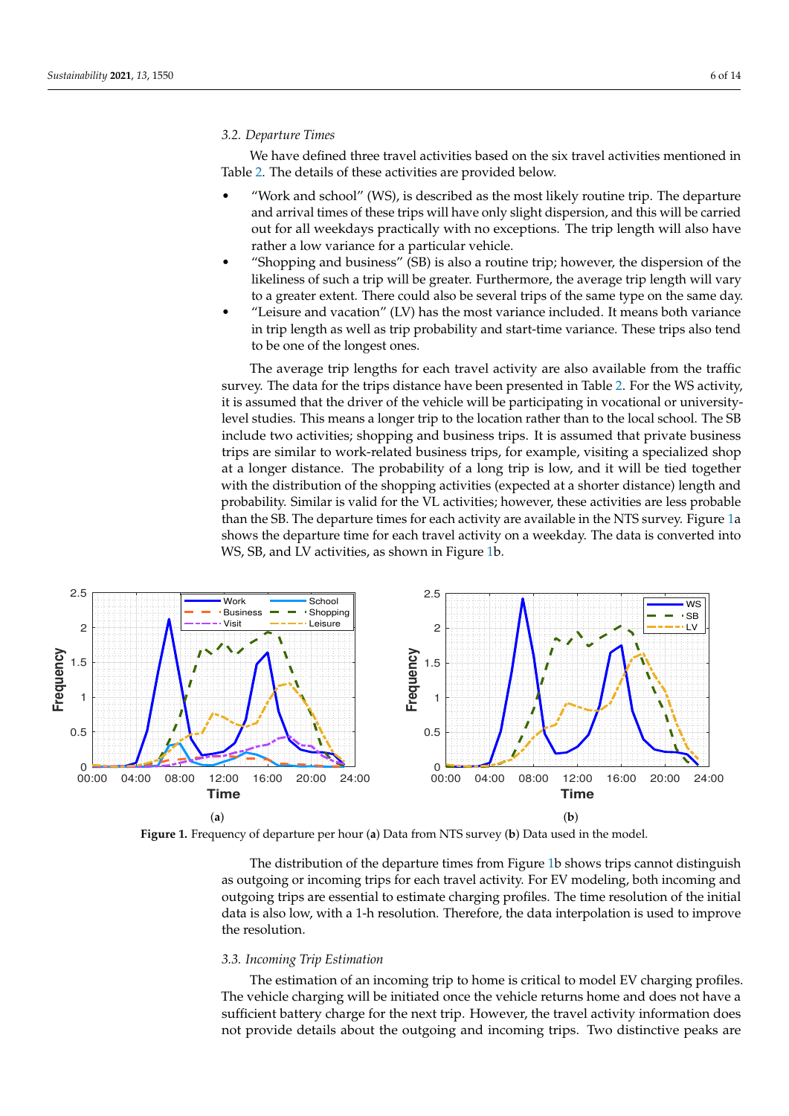#### *3.2. Departure Times*

We have defined three travel activities based on the six travel activities mentioned in Table [2.](#page-4-1) The details of these activities are provided below.

- "Work and school" (WS), is described as the most likely routine trip. The departure and arrival times of these trips will have only slight dispersion, and this will be carried out for all weekdays practically with no exceptions. The trip length will also have rather a low variance for a particular vehicle.
- "Shopping and business" (SB) is also a routine trip; however, the dispersion of the likeliness of such a trip will be greater. Furthermore, the average trip length will vary to a greater extent. There could also be several trips of the same type on the same day.
- "Leisure and vacation" (LV) has the most variance included. It means both variance in trip length as well as trip probability and start-time variance. These trips also tend to be one of the longest ones.

The average trip lengths for each travel activity are also available from the traffic survey. The data for the trips distance have been presented in Table [2.](#page-4-1) For the WS activity, it is assumed that the driver of the vehicle will be participating in vocational or universitylevel studies. This means a longer trip to the location rather than to the local school. The SB include two activities; shopping and business trips. It is assumed that private business trips are similar to work-related business trips, for example, visiting a specialized shop at a longer distance. The probability of a long trip is low, and it will be tied together with the distribution of the shopping activities (expected at a shorter distance) length and probability. Similar is valid for the VL activities; however, these activities are less probable than the SB. The departure times for each activity are available in the NTS survey. Figure [1a](#page-5-0) shows the departure time for each travel activity on a weekday. The data is converted into WS, SB, and LV activities, as shown in Figure [1b](#page-5-0).

<span id="page-5-0"></span>

**Figure 1.** Frequency of departure per hour (**a**) Data from NTS survey (**b**) Data used in the model.

The distribution of the departure times from Figure [1b](#page-5-0) shows trips cannot distinguish as outgoing or incoming trips for each travel activity. For EV modeling, both incoming and outgoing trips are essential to estimate charging profiles. The time resolution of the initial data is also low, with a 1-h resolution. Therefore, the data interpolation is used to improve the resolution.

# <span id="page-5-1"></span>*3.3. Incoming Trip Estimation*

The estimation of an incoming trip to home is critical to model EV charging profiles. The vehicle charging will be initiated once the vehicle returns home and does not have a sufficient battery charge for the next trip. However, the travel activity information does not provide details about the outgoing and incoming trips. Two distinctive peaks are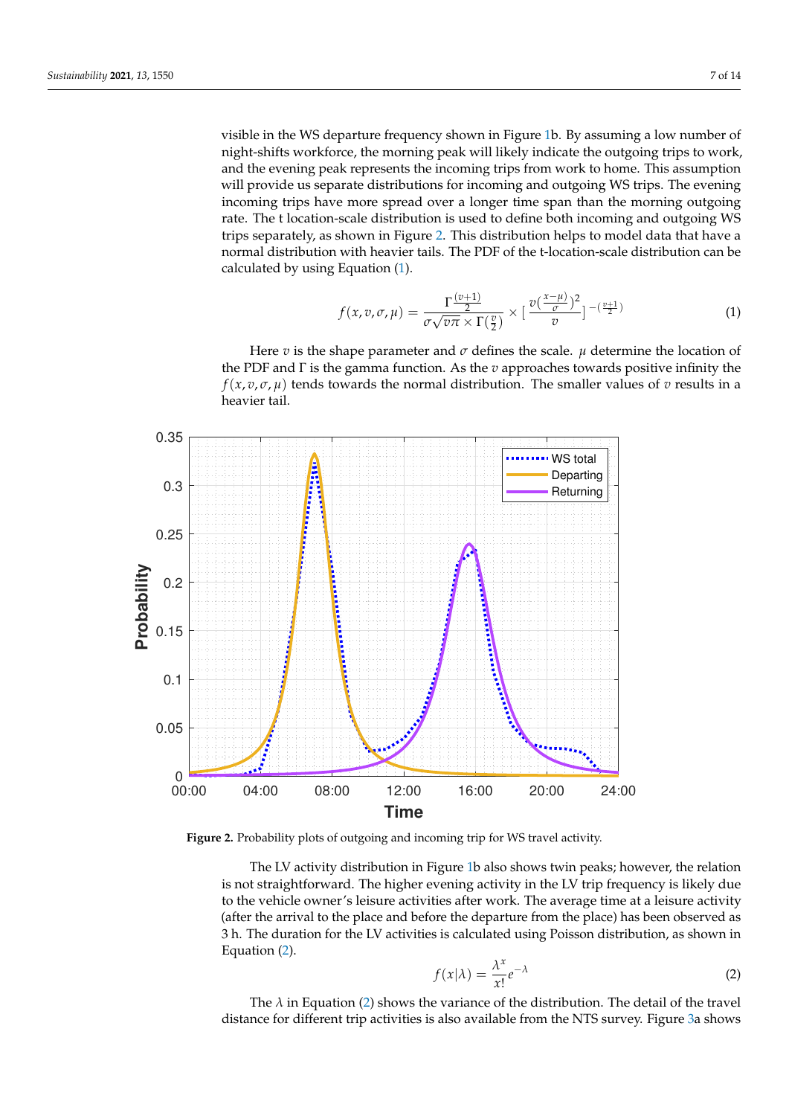visible in the WS departure frequency shown in Figure [1b](#page-5-0). By assuming a low number of night-shifts workforce, the morning peak will likely indicate the outgoing trips to work, and the evening peak represents the incoming trips from work to home. This assumption will provide us separate distributions for incoming and outgoing WS trips. The evening incoming trips have more spread over a longer time span than the morning outgoing rate. The t location-scale distribution is used to define both incoming and outgoing WS trips separately, as shown in Figure [2.](#page-6-0) This distribution helps to model data that have a normal distribution with heavier tails. The PDF of the t-location-scale distribution can be calculated by using Equation [\(1\)](#page-6-1).

<span id="page-6-1"></span>
$$
f(x,v,\sigma,\mu) = \frac{\Gamma(\frac{v+1)}{2}}{\sigma\sqrt{v\pi} \times \Gamma(\frac{v}{2})} \times \left[\frac{v(\frac{x-\mu}{\sigma})^2}{v}\right]^{-(\frac{v+1}{2})} \tag{1}
$$

Here *v* is the shape parameter and  $\sigma$  defines the scale.  $\mu$  determine the location of the PDF and Γ is the gamma function. As the *v* approaches towards positive infinity the *f*( $x$ ,  $v$ ,  $\sigma$ ,  $\mu$ ) tends towards the normal distribution. The smaller values of  $v$  results in a heavier tail.

<span id="page-6-0"></span>

**Figure 2.** Probability plots of outgoing and incoming trip for WS travel activity.

The LV activity distribution in Figure [1b](#page-5-0) also shows twin peaks; however, the relation is not straightforward. The higher evening activity in the LV trip frequency is likely due to the vehicle owner's leisure activities after work. The average time at a leisure activity (after the arrival to the place and before the departure from the place) has been observed as 3 h. The duration for the LV activities is calculated using Poisson distribution, as shown in Equation [\(2\)](#page-6-2).

<span id="page-6-2"></span>
$$
f(x|\lambda) = \frac{\lambda^x}{x!} e^{-\lambda}
$$
 (2)

The  $\lambda$  in Equation [\(2\)](#page-6-2) shows the variance of the distribution. The detail of the travel distance for different trip activities is also available from the NTS survey. Figure [3a](#page-7-0) shows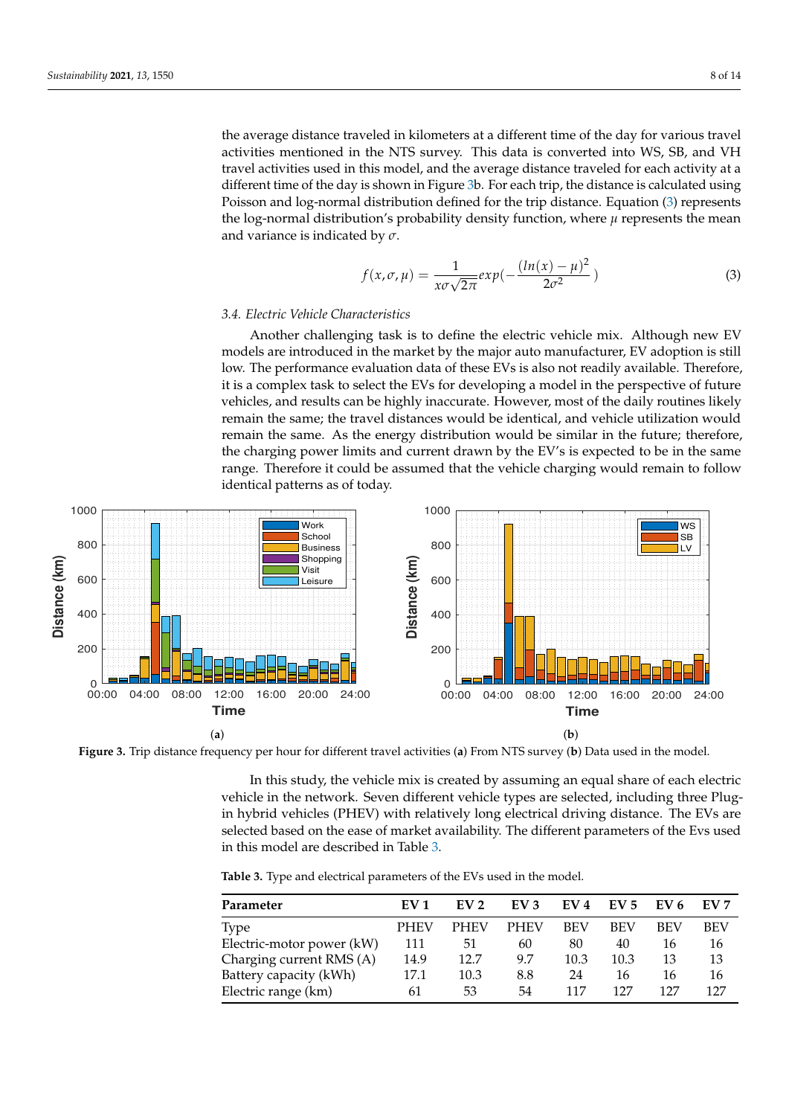the average distance traveled in kilometers at a different time of the day for various travel activities mentioned in the NTS survey. This data is converted into WS, SB, and VH travel activities used in this model, and the average distance traveled for each activity at a different time of the day is shown in Figure [3b](#page-7-0). For each trip, the distance is calculated using Poisson and log-normal distribution defined for the trip distance. Equation [\(3\)](#page-7-1) represents the log-normal distribution's probability density function, where  $\mu$  represents the mean and variance is indicated by *σ*.

<span id="page-7-1"></span>
$$
f(x, \sigma, \mu) = \frac{1}{x\sigma\sqrt{2\pi}}exp(-\frac{(ln(x) - \mu)^2}{2\sigma^2})
$$
 (3)

#### *3.4. Electric Vehicle Characteristics*

Another challenging task is to define the electric vehicle mix. Although new EV models are introduced in the market by the major auto manufacturer, EV adoption is still low. The performance evaluation data of these EVs is also not readily available. Therefore, it is a complex task to select the EVs for developing a model in the perspective of future vehicles, and results can be highly inaccurate. However, most of the daily routines likely remain the same; the travel distances would be identical, and vehicle utilization would remain the same. As the energy distribution would be similar in the future; therefore, the charging power limits and current drawn by the EV's is expected to be in the same range. Therefore it could be assumed that the vehicle charging would remain to follow identical patterns as of today.

<span id="page-7-0"></span>

**Figure 3.** Trip distance frequency per hour for different travel activities (**a**) From NTS survey (**b**) Data used in the model.

In this study, the vehicle mix is created by assuming an equal share of each electric vehicle in the network. Seven different vehicle types are selected, including three Plugin hybrid vehicles (PHEV) with relatively long electrical driving distance. The EVs are selected based on the ease of market availability. The different parameters of the Evs used in this model are described in Table [3.](#page-7-2)

<span id="page-7-2"></span>**Table 3.** Type and electrical parameters of the EVs used in the model.

| Parameter                 | EV 1        | EV <sub>2</sub> | EV <sub>3</sub> | EV <sub>4</sub> | EV <sub>5</sub> | EV 6 | EV 7 |
|---------------------------|-------------|-----------------|-----------------|-----------------|-----------------|------|------|
| <b>Type</b>               | <b>PHEV</b> | <b>PHEV</b>     | <b>PHEV</b>     | <b>BEV</b>      | BEV             | BEV  | BEV  |
| Electric-motor power (kW) | 111         | 51              | 60              | 80              | 40              | 16   | 16   |
| Charging current RMS (A)  | 14.9        | 12.7            | 9.7             | 10.3            | 10.3            | 13   | 13   |
| Battery capacity (kWh)    | 17.1        | 10.3            | 8.8             | 24              | 16              | 16   | 16   |
| Electric range (km)       | 61          | 53              | 54              | 117             | 127             | 127  | 127  |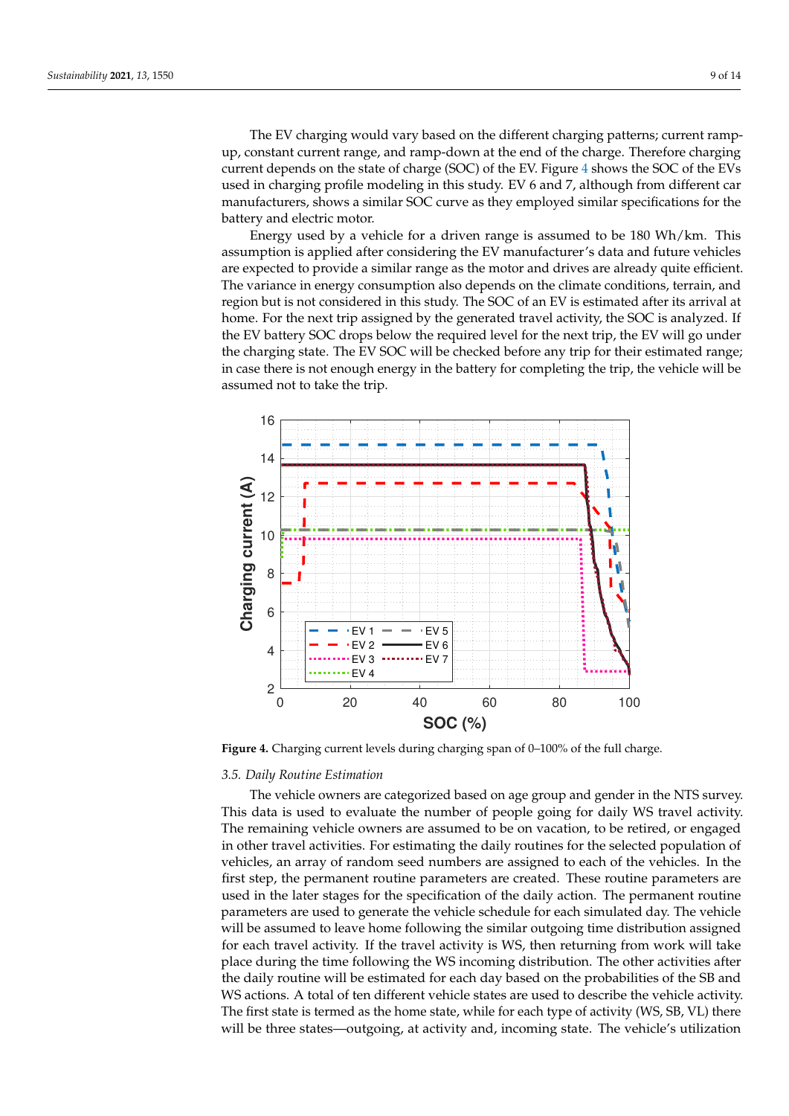The EV charging would vary based on the different charging patterns; current rampup, constant current range, and ramp-down at the end of the charge. Therefore charging current depends on the state of charge (SOC) of the EV. Figure [4](#page-8-0) shows the SOC of the EVs used in charging profile modeling in this study. EV 6 and 7, although from different car manufacturers, shows a similar SOC curve as they employed similar specifications for the battery and electric motor.

Energy used by a vehicle for a driven range is assumed to be 180 Wh/km. This assumption is applied after considering the EV manufacturer's data and future vehicles are expected to provide a similar range as the motor and drives are already quite efficient. The variance in energy consumption also depends on the climate conditions, terrain, and region but is not considered in this study. The SOC of an EV is estimated after its arrival at home. For the next trip assigned by the generated travel activity, the SOC is analyzed. If the EV battery SOC drops below the required level for the next trip, the EV will go under the charging state. The EV SOC will be checked before any trip for their estimated range; in case there is not enough energy in the battery for completing the trip, the vehicle will be assumed not to take the trip.

<span id="page-8-0"></span>

**Figure 4.** Charging current levels during charging span of 0–100% of the full charge.

## *3.5. Daily Routine Estimation*

The vehicle owners are categorized based on age group and gender in the NTS survey. This data is used to evaluate the number of people going for daily WS travel activity. The remaining vehicle owners are assumed to be on vacation, to be retired, or engaged in other travel activities. For estimating the daily routines for the selected population of vehicles, an array of random seed numbers are assigned to each of the vehicles. In the first step, the permanent routine parameters are created. These routine parameters are used in the later stages for the specification of the daily action. The permanent routine parameters are used to generate the vehicle schedule for each simulated day. The vehicle will be assumed to leave home following the similar outgoing time distribution assigned for each travel activity. If the travel activity is WS, then returning from work will take place during the time following the WS incoming distribution. The other activities after the daily routine will be estimated for each day based on the probabilities of the SB and WS actions. A total of ten different vehicle states are used to describe the vehicle activity. The first state is termed as the home state, while for each type of activity (WS, SB, VL) there will be three states—outgoing, at activity and, incoming state. The vehicle's utilization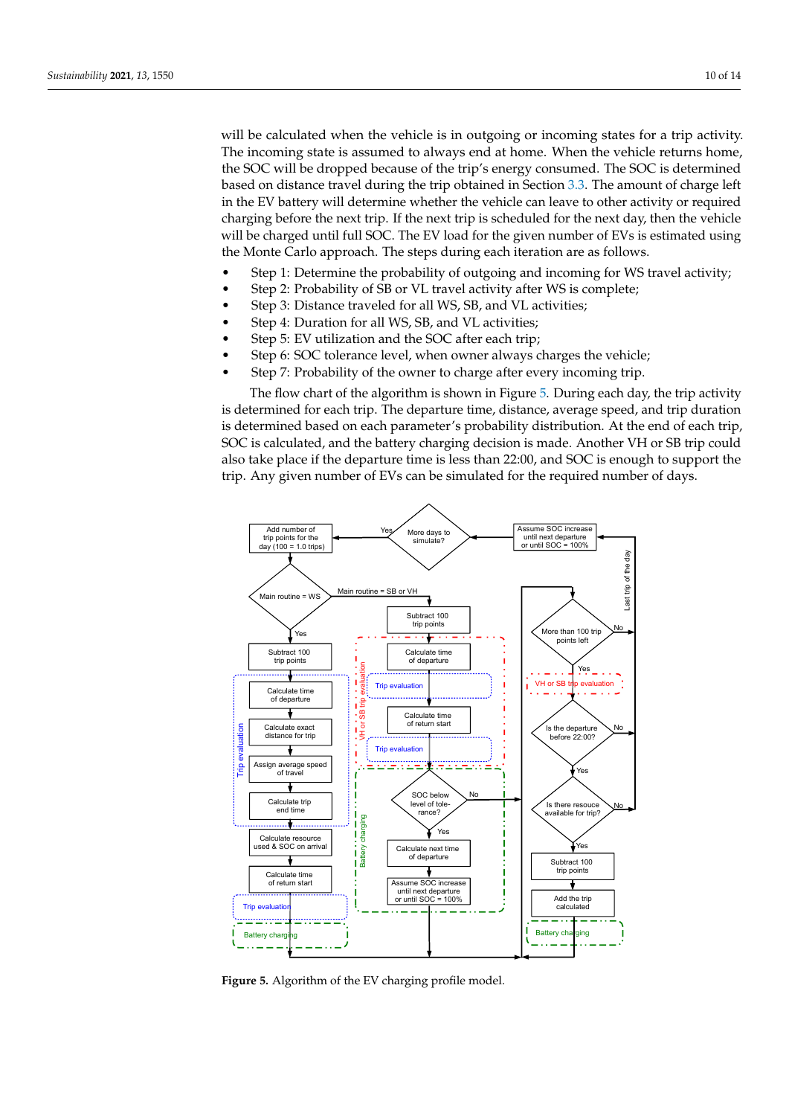will be calculated when the vehicle is in outgoing or incoming states for a trip activity. The incoming state is assumed to always end at home. When the vehicle returns home, the SOC will be dropped because of the trip's energy consumed. The SOC is determined based on distance travel during the trip obtained in Section [3.3.](#page-5-1) The amount of charge left in the EV battery will determine whether the vehicle can leave to other activity or required charging before the next trip. If the next trip is scheduled for the next day, then the vehicle will be charged until full SOC. The EV load for the given number of EVs is estimated using the Monte Carlo approach. The steps during each iteration are as follows.

- Step 1: Determine the probability of outgoing and incoming for WS travel activity;
- Step 2: Probability of SB or VL travel activity after WS is complete;
- Step 3: Distance traveled for all WS, SB, and VL activities;
- Step 4: Duration for all WS, SB, and VL activities;
- Step 5: EV utilization and the SOC after each trip;
- Step 6: SOC tolerance level, when owner always charges the vehicle;
- Step 7: Probability of the owner to charge after every incoming trip.

The flow chart of the algorithm is shown in Figure [5.](#page-9-0) During each day, the trip activity is determined for each trip. The departure time, distance, average speed, and trip duration is determined based on each parameter's probability distribution. At the end of each trip, SOC is calculated, and the battery charging decision is made. Another VH or SB trip could also take place if the departure time is less than 22:00, and SOC is enough to support the trip. Any given number of EVs can be simulated for the required number of days.

<span id="page-9-0"></span>

**Figure 5.** Algorithm of the EV charging profile model.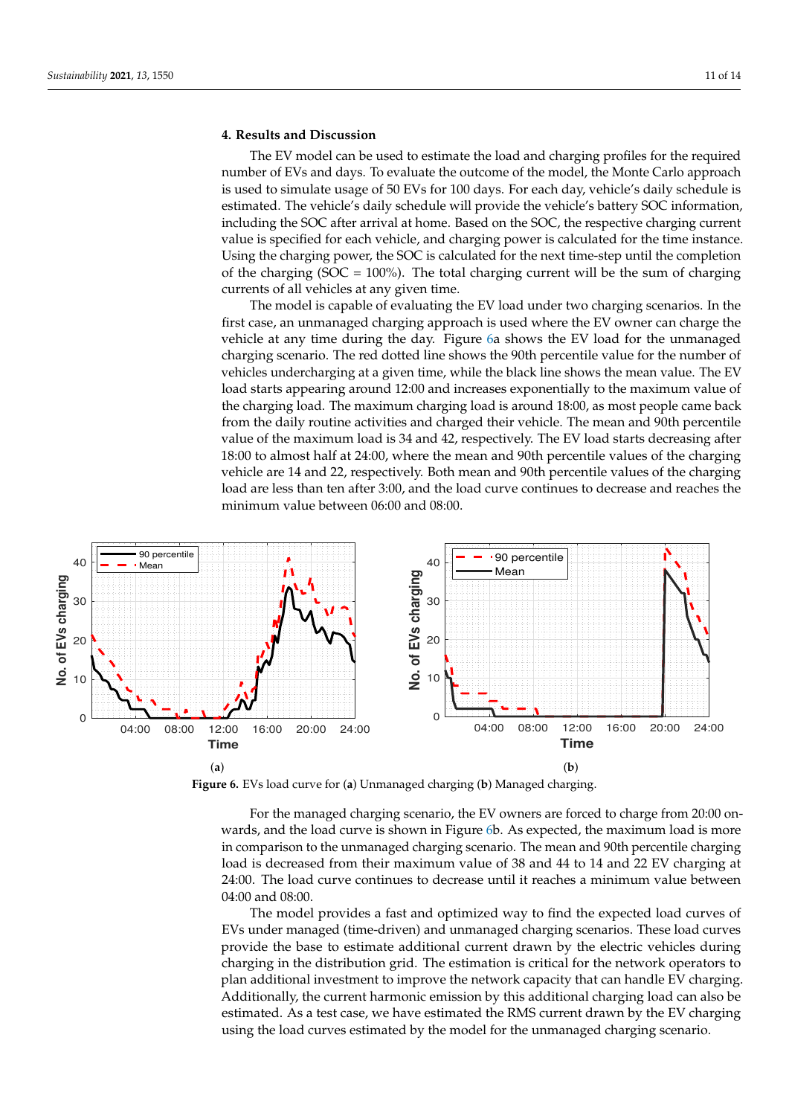# <span id="page-10-0"></span>**4. Results and Discussion**

The EV model can be used to estimate the load and charging profiles for the required number of EVs and days. To evaluate the outcome of the model, the Monte Carlo approach is used to simulate usage of 50 EVs for 100 days. For each day, vehicle's daily schedule is estimated. The vehicle's daily schedule will provide the vehicle's battery SOC information, including the SOC after arrival at home. Based on the SOC, the respective charging current value is specified for each vehicle, and charging power is calculated for the time instance. Using the charging power, the SOC is calculated for the next time-step until the completion of the charging ( $SOC = 100\%$ ). The total charging current will be the sum of charging currents of all vehicles at any given time.

The model is capable of evaluating the EV load under two charging scenarios. In the first case, an unmanaged charging approach is used where the EV owner can charge the vehicle at any time during the day. Figure [6a](#page-10-1) shows the EV load for the unmanaged charging scenario. The red dotted line shows the 90th percentile value for the number of vehicles undercharging at a given time, while the black line shows the mean value. The EV load starts appearing around 12:00 and increases exponentially to the maximum value of the charging load. The maximum charging load is around 18:00, as most people came back from the daily routine activities and charged their vehicle. The mean and 90th percentile value of the maximum load is 34 and 42, respectively. The EV load starts decreasing after 18:00 to almost half at 24:00, where the mean and 90th percentile values of the charging vehicle are 14 and 22, respectively. Both mean and 90th percentile values of the charging load are less than ten after 3:00, and the load curve continues to decrease and reaches the minimum value between 06:00 and 08:00.

<span id="page-10-1"></span>

**Figure 6.** EVs load curve for (**a**) Unmanaged charging (**b**) Managed charging.

For the managed charging scenario, the EV owners are forced to charge from 20:00 onwards, and the load curve is shown in Figure [6b](#page-10-1). As expected, the maximum load is more in comparison to the unmanaged charging scenario. The mean and 90th percentile charging load is decreased from their maximum value of 38 and 44 to 14 and 22 EV charging at 24:00. The load curve continues to decrease until it reaches a minimum value between 04:00 and 08:00.

The model provides a fast and optimized way to find the expected load curves of EVs under managed (time-driven) and unmanaged charging scenarios. These load curves provide the base to estimate additional current drawn by the electric vehicles during charging in the distribution grid. The estimation is critical for the network operators to plan additional investment to improve the network capacity that can handle EV charging. Additionally, the current harmonic emission by this additional charging load can also be estimated. As a test case, we have estimated the RMS current drawn by the EV charging using the load curves estimated by the model for the unmanaged charging scenario.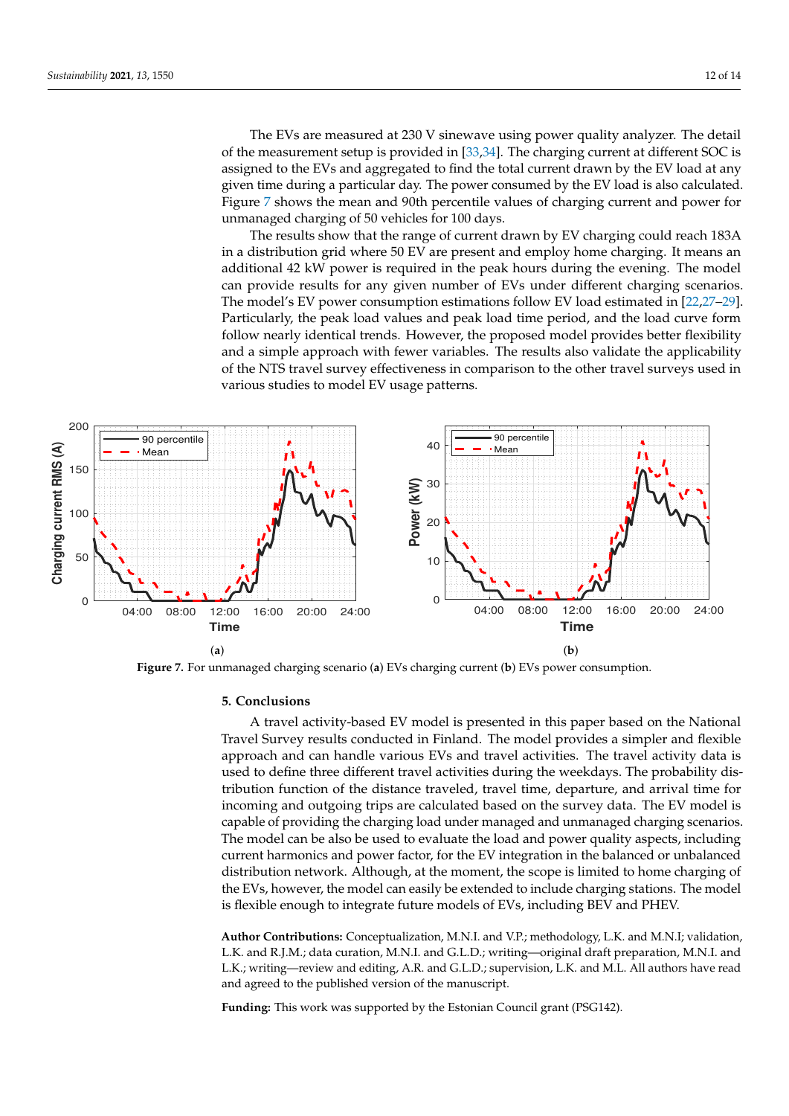The EVs are measured at 230 V sinewave using power quality analyzer. The detail of the measurement setup is provided in [\[33](#page-13-7)[,34\]](#page-13-8). The charging current at different SOC is assigned to the EVs and aggregated to find the total current drawn by the EV load at any given time during a particular day. The power consumed by the EV load is also calculated. Figure [7](#page-11-1) shows the mean and 90th percentile values of charging current and power for unmanaged charging of 50 vehicles for 100 days.

The results show that the range of current drawn by EV charging could reach 183A in a distribution grid where 50 EV are present and employ home charging. It means an additional 42 kW power is required in the peak hours during the evening. The model can provide results for any given number of EVs under different charging scenarios. The model's EV power consumption estimations follow EV load estimated in [\[22,](#page-12-21)[27](#page-13-2)[–29\]](#page-13-3). Particularly, the peak load values and peak load time period, and the load curve form follow nearly identical trends. However, the proposed model provides better flexibility and a simple approach with fewer variables. The results also validate the applicability of the NTS travel survey effectiveness in comparison to the other travel surveys used in various studies to model EV usage patterns.

<span id="page-11-1"></span>

**Figure 7.** For unmanaged charging scenario (**a**) EVs charging current (**b**) EVs power consumption.

#### <span id="page-11-0"></span>**5. Conclusions**

A travel activity-based EV model is presented in this paper based on the National Travel Survey results conducted in Finland. The model provides a simpler and flexible approach and can handle various EVs and travel activities. The travel activity data is used to define three different travel activities during the weekdays. The probability distribution function of the distance traveled, travel time, departure, and arrival time for incoming and outgoing trips are calculated based on the survey data. The EV model is capable of providing the charging load under managed and unmanaged charging scenarios. The model can be also be used to evaluate the load and power quality aspects, including current harmonics and power factor, for the EV integration in the balanced or unbalanced distribution network. Although, at the moment, the scope is limited to home charging of the EVs, however, the model can easily be extended to include charging stations. The model is flexible enough to integrate future models of EVs, including BEV and PHEV.

**Author Contributions:** Conceptualization, M.N.I. and V.P.; methodology, L.K. and M.N.I; validation, L.K. and R.J.M.; data curation, M.N.I. and G.L.D.; writing—original draft preparation, M.N.I. and L.K.; writing—review and editing, A.R. and G.L.D.; supervision, L.K. and M.L. All authors have read and agreed to the published version of the manuscript.

**Funding:** This work was supported by the Estonian Council grant (PSG142).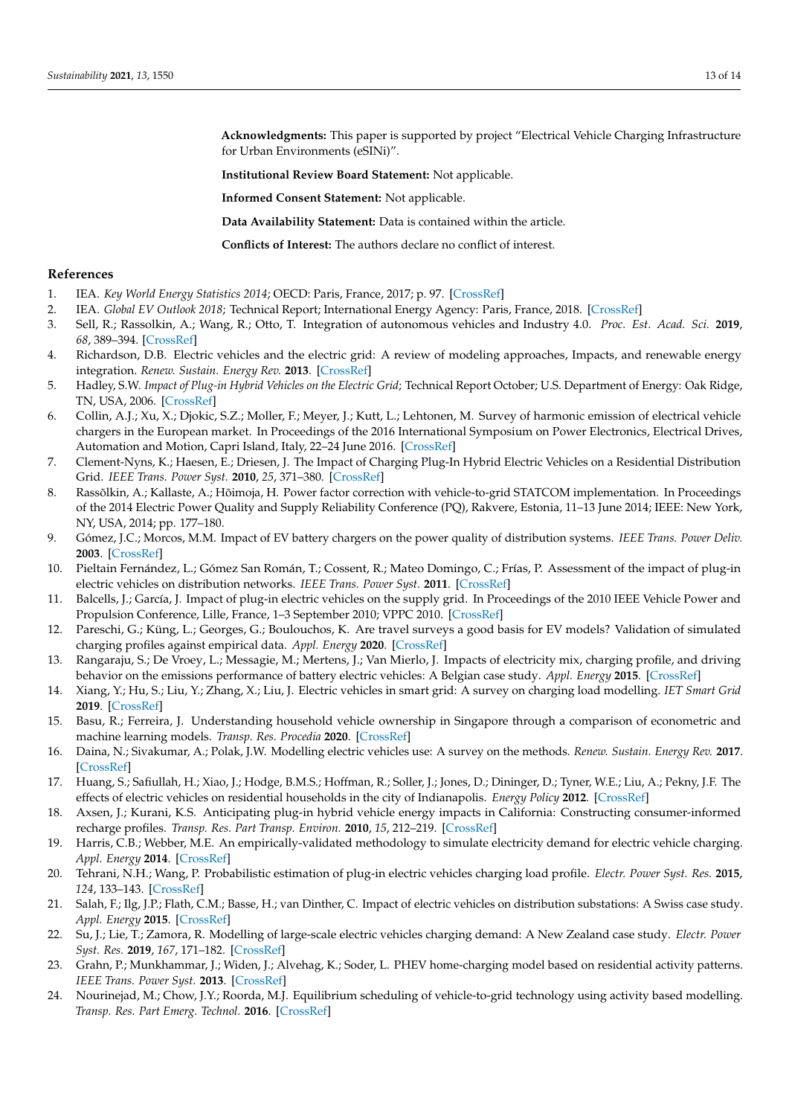**Acknowledgments:** This paper is supported by project "Electrical Vehicle Charging Infrastructure for Urban Environments (eSINi)".

**Institutional Review Board Statement:** Not applicable.

**Informed Consent Statement:** Not applicable.

**Data Availability Statement:** Data is contained within the article.

**Conflicts of Interest:** The authors declare no conflict of interest.

#### **References**

- <span id="page-12-0"></span>1. IEA. *Key World Energy Statistics 2014*; OECD: Paris, France, 2017; p. 97. [\[CrossRef\]](http://doi.org/10.1787/key_energ_stat-2014-en)
- <span id="page-12-1"></span>2. IEA. *Global EV Outlook 2018*; Technical Report; International Energy Agency: Paris, France, 2018. [\[CrossRef\]](http://dx.doi.org/10.1787/9789264302365-en)
- <span id="page-12-2"></span>3. Sell, R.; Rassolkin, A.; Wang, R.; Otto, T. Integration of autonomous vehicles and Industry 4.0. *Proc. Est. Acad. Sci.* **2019**, *68*, 389–394. [\[CrossRef\]](http://dx.doi.org/10.3176/proc.2019.4.07)
- <span id="page-12-3"></span>4. Richardson, D.B. Electric vehicles and the electric grid: A review of modeling approaches, Impacts, and renewable energy integration. *Renew. Sustain. Energy Rev.* **2013**. [\[CrossRef\]](http://dx.doi.org/10.1016/j.rser.2012.11.042)
- <span id="page-12-4"></span>5. Hadley, S.W. *Impact of Plug-in Hybrid Vehicles on the Electric Grid*; Technical Report October; U.S. Department of Energy: Oak Ridge, TN, USA, 2006. [\[CrossRef\]](http://dx.doi.org/10.2172/974613)
- <span id="page-12-5"></span>6. Collin, A.J.; Xu, X.; Djokic, S.Z.; Moller, F.; Meyer, J.; Kutt, L.; Lehtonen, M. Survey of harmonic emission of electrical vehicle chargers in the European market. In Proceedings of the 2016 International Symposium on Power Electronics, Electrical Drives, Automation and Motion, Capri Island, Italy, 22–24 June 2016. [\[CrossRef\]](http://dx.doi.org/10.1109/SPEEDAM.2016.7526005)
- <span id="page-12-6"></span>7. Clement-Nyns, K.; Haesen, E.; Driesen, J. The Impact of Charging Plug-In Hybrid Electric Vehicles on a Residential Distribution Grid. *IEEE Trans. Power Syst.* **2010**, *25*, 371–380. [\[CrossRef\]](http://dx.doi.org/10.1109/TPWRS.2009.2036481)
- <span id="page-12-7"></span>8. Rassõlkin, A.; Kallaste, A.; Hõimoja, H. Power factor correction with vehicle-to-grid STATCOM implementation. In Proceedings of the 2014 Electric Power Quality and Supply Reliability Conference (PQ), Rakvere, Estonia, 11–13 June 2014; IEEE: New York, NY, USA, 2014; pp. 177–180.
- <span id="page-12-8"></span>9. Gómez, J.C.; Morcos, M.M. Impact of EV battery chargers on the power quality of distribution systems. *IEEE Trans. Power Deliv.* **2003**. [\[CrossRef\]](http://dx.doi.org/10.1109/TPWRD.2003.813873)
- <span id="page-12-9"></span>10. Pieltain Fernández, L.; Gómez San Román, T.; Cossent, R.; Mateo Domingo, C.; Frías, P. Assessment of the impact of plug-in electric vehicles on distribution networks. *IEEE Trans. Power Syst.* **2011**. [\[CrossRef\]](http://dx.doi.org/10.1109/TPWRS.2010.2049133)
- <span id="page-12-10"></span>11. Balcells, J.; García, J. Impact of plug-in electric vehicles on the supply grid. In Proceedings of the 2010 IEEE Vehicle Power and Propulsion Conference, Lille, France, 1–3 September 2010; VPPC 2010. [\[CrossRef\]](http://dx.doi.org/10.1109/VPPC.2010.5729217)
- <span id="page-12-11"></span>12. Pareschi, G.; Küng, L.; Georges, G.; Boulouchos, K. Are travel surveys a good basis for EV models? Validation of simulated charging profiles against empirical data. *Appl. Energy* **2020**. [\[CrossRef\]](http://dx.doi.org/10.1016/j.apenergy.2020.115318)
- <span id="page-12-12"></span>13. Rangaraju, S.; De Vroey, L.; Messagie, M.; Mertens, J.; Van Mierlo, J. Impacts of electricity mix, charging profile, and driving behavior on the emissions performance of battery electric vehicles: A Belgian case study. *Appl. Energy* **2015**. [\[CrossRef\]](http://dx.doi.org/10.1016/j.apenergy.2015.01.121)
- <span id="page-12-13"></span>14. Xiang, Y.; Hu, S.; Liu, Y.; Zhang, X.; Liu, J. Electric vehicles in smart grid: A survey on charging load modelling. *IET Smart Grid* **2019**. [\[CrossRef\]](http://dx.doi.org/10.1049/iet-stg.2018.0053)
- <span id="page-12-14"></span>15. Basu, R.; Ferreira, J. Understanding household vehicle ownership in Singapore through a comparison of econometric and machine learning models. *Transp. Res. Procedia* **2020**. [\[CrossRef\]](http://dx.doi.org/10.1016/j.trpro.2020.08.207)
- <span id="page-12-15"></span>16. Daina, N.; Sivakumar, A.; Polak, J.W. Modelling electric vehicles use: A survey on the methods. *Renew. Sustain. Energy Rev.* **2017**. [\[CrossRef\]](http://dx.doi.org/10.1016/j.rser.2016.10.005)
- <span id="page-12-16"></span>17. Huang, S.; Safiullah, H.; Xiao, J.; Hodge, B.M.S.; Hoffman, R.; Soller, J.; Jones, D.; Dininger, D.; Tyner, W.E.; Liu, A.; Pekny, J.F. The effects of electric vehicles on residential households in the city of Indianapolis. *Energy Policy* **2012**. [\[CrossRef\]](http://dx.doi.org/10.1016/j.enpol.2012.06.039)
- <span id="page-12-17"></span>18. Axsen, J.; Kurani, K.S. Anticipating plug-in hybrid vehicle energy impacts in California: Constructing consumer-informed recharge profiles. *Transp. Res. Part Transp. Environ.* **2010**, *15*, 212–219. [\[CrossRef\]](http://dx.doi.org/10.1016/j.trd.2010.02.004)
- <span id="page-12-18"></span>19. Harris, C.B.; Webber, M.E. An empirically-validated methodology to simulate electricity demand for electric vehicle charging. *Appl. Energy* **2014**. [\[CrossRef\]](http://dx.doi.org/10.1016/j.apenergy.2014.03.078)
- <span id="page-12-19"></span>20. Tehrani, N.H.; Wang, P. Probabilistic estimation of plug-in electric vehicles charging load profile. *Electr. Power Syst. Res.* **2015**, *124*, 133–143. [\[CrossRef\]](http://dx.doi.org/10.1016/j.epsr.2015.03.010)
- <span id="page-12-20"></span>21. Salah, F.; Ilg, J.P.; Flath, C.M.; Basse, H.; van Dinther, C. Impact of electric vehicles on distribution substations: A Swiss case study. *Appl. Energy* **2015**. [\[CrossRef\]](http://dx.doi.org/10.1016/j.apenergy.2014.09.091)
- <span id="page-12-21"></span>22. Su, J.; Lie, T.; Zamora, R. Modelling of large-scale electric vehicles charging demand: A New Zealand case study. *Electr. Power Syst. Res.* **2019**, *167*, 171–182. [\[CrossRef\]](http://dx.doi.org/10.1016/j.epsr.2018.10.030)
- <span id="page-12-22"></span>23. Grahn, P.; Munkhammar, J.; Widen, J.; Alvehag, K.; Soder, L. PHEV home-charging model based on residential activity patterns. *IEEE Trans. Power Syst.* **2013**. [\[CrossRef\]](http://dx.doi.org/10.1109/TPWRS.2012.2230193)
- <span id="page-12-23"></span>24. Nourinejad, M.; Chow, J.Y.; Roorda, M.J. Equilibrium scheduling of vehicle-to-grid technology using activity based modelling. *Transp. Res. Part Emerg. Technol.* **2016**. [\[CrossRef\]](http://dx.doi.org/10.1016/j.trc.2016.02.001)